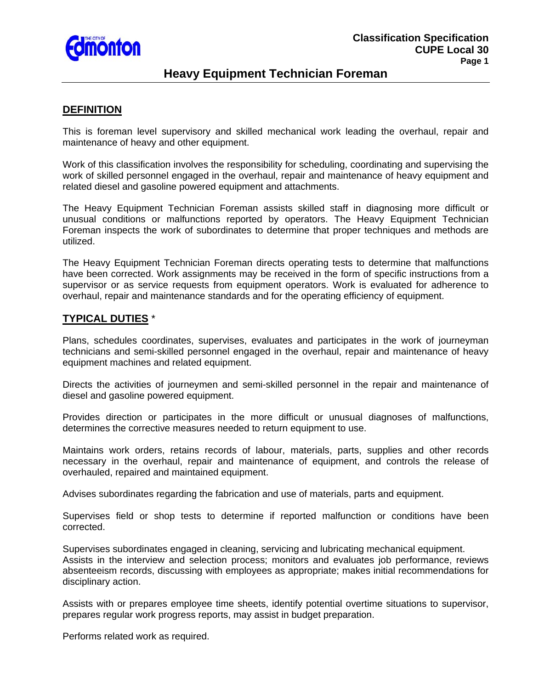

# **Heavy Equipment Technician Foreman**

### **DEFINITION**

This is foreman level supervisory and skilled mechanical work leading the overhaul, repair and maintenance of heavy and other equipment.

Work of this classification involves the responsibility for scheduling, coordinating and supervising the work of skilled personnel engaged in the overhaul, repair and maintenance of heavy equipment and related diesel and gasoline powered equipment and attachments.

The Heavy Equipment Technician Foreman assists skilled staff in diagnosing more difficult or unusual conditions or malfunctions reported by operators. The Heavy Equipment Technician Foreman inspects the work of subordinates to determine that proper techniques and methods are utilized.

The Heavy Equipment Technician Foreman directs operating tests to determine that malfunctions have been corrected. Work assignments may be received in the form of specific instructions from a supervisor or as service requests from equipment operators. Work is evaluated for adherence to overhaul, repair and maintenance standards and for the operating efficiency of equipment.

### **TYPICAL DUTIES** \*

Plans, schedules coordinates, supervises, evaluates and participates in the work of journeyman technicians and semi-skilled personnel engaged in the overhaul, repair and maintenance of heavy equipment machines and related equipment.

Directs the activities of journeymen and semi-skilled personnel in the repair and maintenance of diesel and gasoline powered equipment.

Provides direction or participates in the more difficult or unusual diagnoses of malfunctions, determines the corrective measures needed to return equipment to use.

Maintains work orders, retains records of labour, materials, parts, supplies and other records necessary in the overhaul, repair and maintenance of equipment, and controls the release of overhauled, repaired and maintained equipment.

Advises subordinates regarding the fabrication and use of materials, parts and equipment.

Supervises field or shop tests to determine if reported malfunction or conditions have been corrected.

Supervises subordinates engaged in cleaning, servicing and lubricating mechanical equipment. Assists in the interview and selection process; monitors and evaluates job performance, reviews absenteeism records, discussing with employees as appropriate; makes initial recommendations for disciplinary action.

Assists with or prepares employee time sheets, identify potential overtime situations to supervisor, prepares regular work progress reports, may assist in budget preparation.

Performs related work as required.